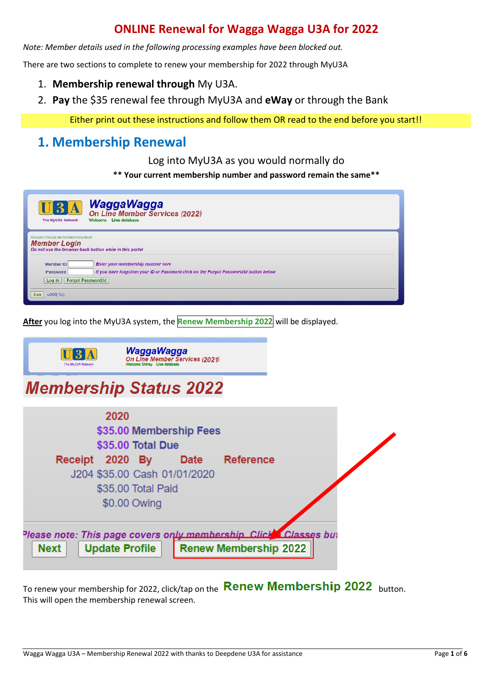### **ONLINE Renewal for Wagga Wagga U3A for 2022**

*Note: Member details used in the following processing examples have been blocked out.*

There are two sections to complete to renew your membership for 2022 through MyU3A

- 1. **Membership renewal through** My U3A.
- 2. **Pay** the \$35 renewal fee through MyU3A and **eWay** or through the Bank

Either print out these instructions and follow them OR read to the end before you start!!

# **1. Membership Renewal**

#### Log into MyU3A as you would normally do

**\*\* Your current membership number and password remain the same\*\***

| The MyU3A Network                                         | <b>WaggaWagga</b><br>On Line Member Services (2022)<br>Welcome Live database           |
|-----------------------------------------------------------|----------------------------------------------------------------------------------------|
| myu3s01.myu3s.net:/home/www/a3aww/<br><b>Member Login</b> | Do not use the browser back button while in this portal                                |
| Member ID                                                 | Enter your membership number here                                                      |
| Password                                                  | If you have forgotton your ID or Password click on the Forgot Password/Id button below |
| Log in                                                    | <b>Forgot Password/Id</b>                                                              |
| Exit<br>u006(1b)                                          |                                                                                        |

**After** you log into the MyU3A system, the **Renew Membership 2021** will be displayed.

|                 |                    | <b>Membership Status 2022</b> |                  |  |
|-----------------|--------------------|-------------------------------|------------------|--|
|                 | 2020               |                               |                  |  |
|                 |                    | \$35.00 Membership Fees       |                  |  |
|                 | \$35.00 Total Due  |                               |                  |  |
| Receipt 2020 By |                    | <b>Date</b>                   | <b>Reference</b> |  |
|                 |                    | J204 \$35.00 Cash 01/01/2020  |                  |  |
|                 | \$35.00 Total Paid |                               |                  |  |
|                 | \$0.00 Owing       |                               |                  |  |
|                 |                    |                               |                  |  |

To renew your membership for 2022, click/tap on the Renew Membership 2022 button. This will open the membership renewal screen.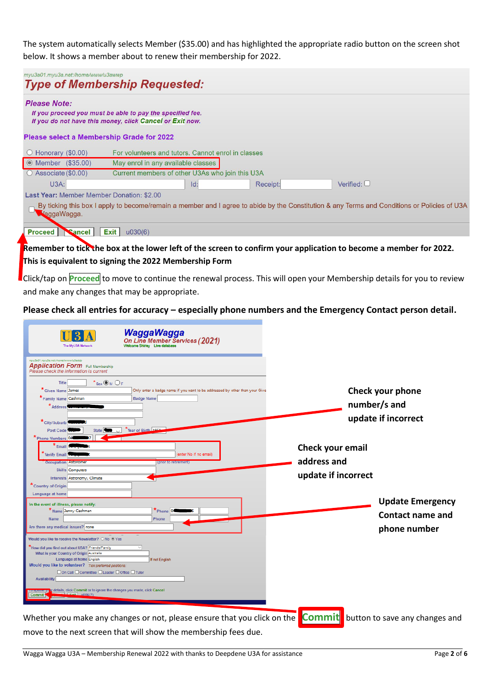The system automatically selects Member (\$35.00) and has highlighted the appropriate radio button on the screen shot below. It shows a member about to renew their membership for 2022.

| <b>Please Note:</b>                       | If you proceed you must be able to pay the specified fee.<br>If you do not have this money, click Cancel or Exit now. |          |                                                                                                                                              |  |
|-------------------------------------------|-----------------------------------------------------------------------------------------------------------------------|----------|----------------------------------------------------------------------------------------------------------------------------------------------|--|
| Please select a Membership Grade for 2022 |                                                                                                                       |          |                                                                                                                                              |  |
| Honorary (\$0.00)                         | For volunteers and tutors. Cannot enrol in classes                                                                    |          |                                                                                                                                              |  |
| • Member (\$35.00)                        | May enrol in any available classes                                                                                    |          |                                                                                                                                              |  |
| $\circ$ Associate (\$0.00)                | Current members of other U3As who join this U3A                                                                       |          |                                                                                                                                              |  |
| $U3A$ :                                   | Id:                                                                                                                   | Receipt: | Verified: $\Box$                                                                                                                             |  |
| Last Year: Member Member Donation: \$2.00 |                                                                                                                       |          |                                                                                                                                              |  |
| VaggaWagga.                               |                                                                                                                       |          | By ticking this box I apply to become/remain a member and I agree to abide by the Constitution & any Terms and Conditions or Policies of U3A |  |
|                                           | <b>Exit</b><br>u030(6)                                                                                                |          |                                                                                                                                              |  |

### **This is equivalent to signing the 2022 Membership Form**

Click/tap on **Proceed** to move to continue the renewal process. This will open your Membership details for you to review and make any changes that may be appropriate.

#### **Please check all entries for accuracy – especially phone numbers and the Emergency Contact person detail.**

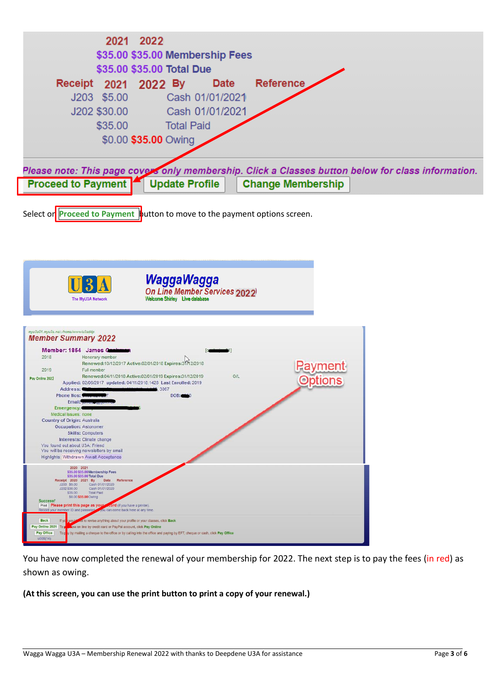| Receipt 2021 2022 By<br><b>Date</b> |                                                                                                    |
|-------------------------------------|----------------------------------------------------------------------------------------------------|
|                                     | <b>Reference</b>                                                                                   |
| Cash 01/01/2021                     |                                                                                                    |
| Cash 01/01/2021<br>J202 \$30.00     |                                                                                                    |
| <b>Total Paid</b>                   |                                                                                                    |
| \$0.00 \$35.00 Owing                |                                                                                                    |
|                                     |                                                                                                    |
|                                     | Please note: This page covers only membership. Click a Classes button below for class information. |
|                                     | <b>Update Profile</b>                                                                              |

Select on **Proceed to Payment b**utton to move to the payment options screen.



You have now completed the renewal of your membership for 2022. The next step is to pay the fees (in red) as shown as owing.

**(At this screen, you can use the print button to print a copy of your renewal.)**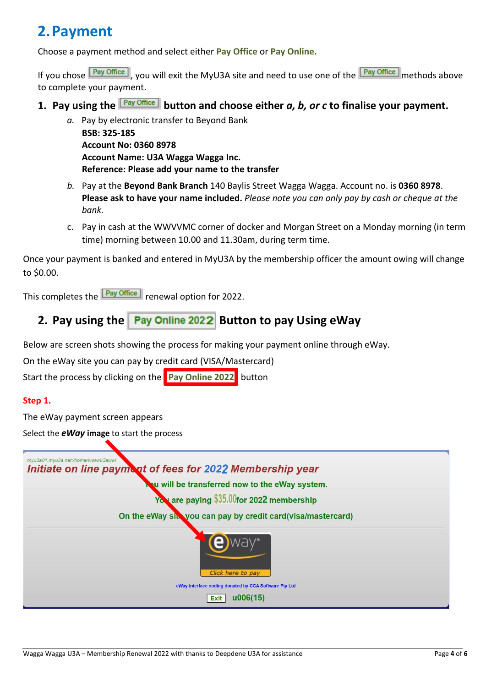# **2.Payment**

Choose a payment method and select either **Pay Office** or **Pay Online.**

If you chose **Pay Office**, you will exit the MyU3A site and need to use one of the **Pay Office** methods above to complete your payment.

## **1.** Pav using the  $\boxed{\frac{\text{Pay Office}}{\text{button}}}$  button and choose either *a, b, or c* to finalise your payment.

- *a.* Pay by electronic transfer to Beyond Bank **BSB: 325-185 Account No: 0360 8978 Account Name: U3A Wagga Wagga Inc. Reference: Please add your name to the transfer**
- *b.* Pay at the **Beyond Bank Branch** 140 Baylis Street Wagga Wagga. Account no. is **0360 8978**. Please ask to have your name included. Please note you can only pay by cash or cheque at the *bank.*
- c. Pay in cash at the WWVVMC corner of docker and Morgan Street on a Monday morning (in term time) morning between 10.00 and 11.30am, during term time.

Once your payment is banked and entered in MyU3A by the membership officer the amount owing will change to \$0.00.

This completes the  $\sqrt{\frac{Pay \text{ Office}}{P}}$  renewal option for 2022.

# **2. Pay using the Pay Online 2022 Button to pay Using eWay**

Below are screen shots showing the process for making your payment online through eWay.

On the eWay site you can pay by credit card (VISA/Mastercard)

Start the process by clicking on the **Pay Online 2022** button

### **Step 1.**

The eWay payment screen appears

Select the *eWay* **image** to start the process

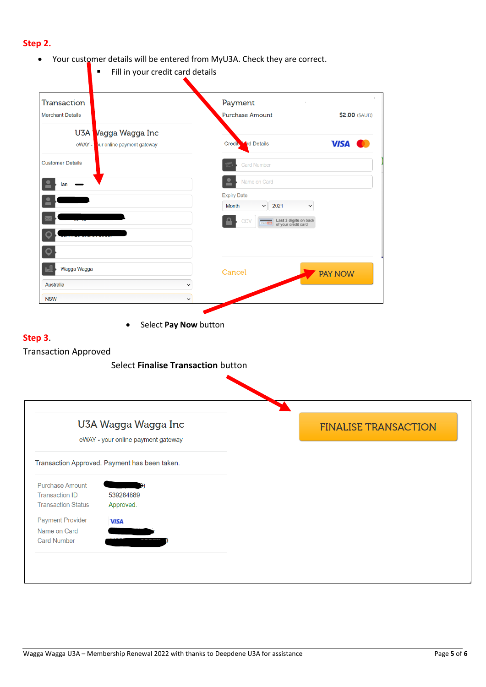### **Step 2.**

• Your customer details will be entered from MyU3A. Check they are correct.